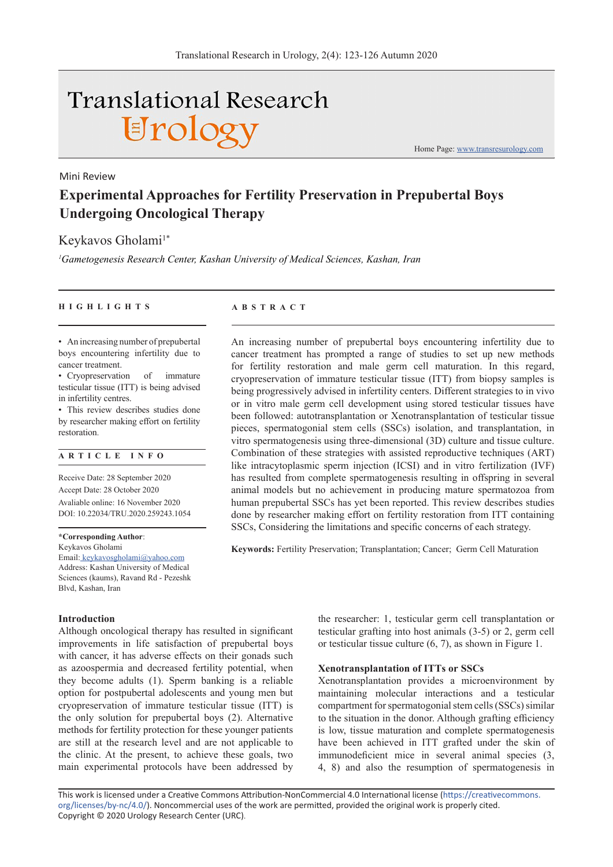# **Translational Research** Urology

Mini Review

**Experimental Approaches for Fertility Preservation in Prepubertal Boys Undergoing Oncological Therapy**

## Keykavos Gholami<sup>1\*</sup>

*1 Gametogenesis Research Center, Kashan University of Medical Sciences, Kashan, Iran*

#### **HIGHLIGHTS ABSTRACT**

• An increasing number of prepubertal boys encountering infertility due to cancer treatment.

• Cryopreservation of immature testicular tissue (ITT) is being advised in infertility centres.

• This review describes studies done by researcher making effort on fertility restoration.

### **ARTICLE INFO**

Receive Date: 28 September 2020 Accept Date: 28 October 2020 Avaliable online: 16 November 2020 DOI: 10.22034/TRU.2020.259243.1054

**\*Corresponding Author**: Keykavos Gholami Email: keykavosgholami@yahoo.com Address: Kashan University of Medical Sciences (kaums), Ravand Rd - Pezeshk Blvd, Kashan, Iran

#### **Introduction**

Although oncological therapy has resulted in significant improvements in life satisfaction of prepubertal boys with cancer, it has adverse effects on their gonads such as azoospermia and decreased fertility potential, when they become adults (1). Sperm banking is a reliable option for postpubertal adolescents and young men but cryopreservation of immature testicular tissue (ITT) is the only solution for prepubertal boys (2). Alternative methods for fertility protection for these younger patients are still at the research level and are not applicable to the clinic. At the present, to achieve these goals, two main experimental protocols have been addressed by

the researcher: 1, testicular germ cell transplantation or testicular grafting into host animals (3-5) or 2, germ cell or testicular tissue culture (6, 7), as shown in Figure 1.

#### **Xenotransplantation of ITTs or SSCs**

**Keywords:** Fertility Preservation; Transplantation; Cancer; Germ Cell Maturation

An increasing number of prepubertal boys encountering infertility due to cancer treatment has prompted a range of studies to set up new methods for fertility restoration and male germ cell maturation. In this regard, cryopreservation of immature testicular tissue (ITT) from biopsy samples is being progressively advised in infertility centers. Different strategies to in vivo or in vitro male germ cell development using stored testicular tissues have been followed: autotransplantation or Xenotransplantation of testicular tissue pieces, spermatogonial stem cells (SSCs) isolation, and transplantation, in vitro spermatogenesis using three-dimensional (3D) culture and tissue culture. Combination of these strategies with assisted reproductive techniques (ART) like intracytoplasmic sperm injection (ICSI) and in vitro fertilization (IVF) has resulted from complete spermatogenesis resulting in offspring in several animal models but no achievement in producing mature spermatozoa from human prepubertal SSCs has yet been reported. This review describes studies done by researcher making effort on fertility restoration from ITT containing SSCs, Considering the limitations and specific concerns of each strategy.

> Xenotransplantation provides a microenvironment by maintaining molecular interactions and a testicular compartment for spermatogonial stem cells (SSCs) similar to the situation in the donor. Although grafting efficiency is low, tissue maturation and complete spermatogenesis have been achieved in ITT grafted under the skin of immunodeficient mice in several animal species (3, 4, 8) and also the resumption of spermatogenesis in

This work is licensed under a Creative Commons Attribution-NonCommercial 4.0 International license (https://creativecommons. org/licenses/by-nc/4.0/). Noncommercial uses of the work are permitted, provided the original work is properly cited. Copyright © 2020 Urology Research Center (URC).

Home Page: www.transresurology.com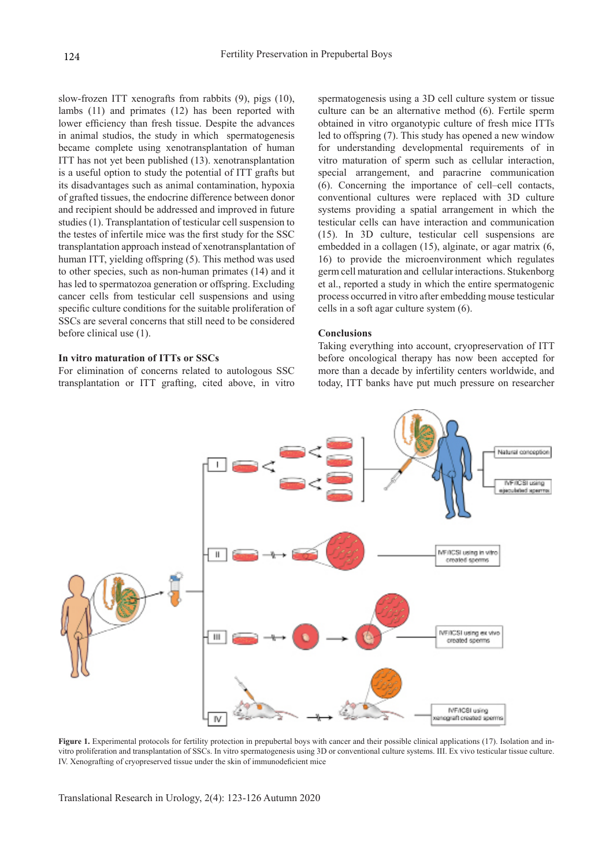slow-frozen ITT xenografts from rabbits (9), pigs (10), lambs (11) and primates (12) has been reported with lower efficiency than fresh tissue. Despite the advances in animal studios, the study in which spermatogenesis became complete using xenotransplantation of human ITT has not yet been published (13). xenotransplantation is a useful option to study the potential of ITT grafts but its disadvantages such as animal contamination, hypoxia of grafted tissues, the endocrine difference between donor and recipient should be addressed and improved in future studies (1). Transplantation of testicular cell suspension to the testes of infertile mice was the first study for the SSC transplantation approach instead of xenotransplantation of human ITT, yielding offspring (5). This method was used to other species, such as non-human primates (14) and it has led to spermatozoa generation or offspring. Excluding cancer cells from testicular cell suspensions and using specific culture conditions for the suitable proliferation of SSCs are several concerns that still need to be considered before clinical use (1).

#### **In vitro maturation of ITTs or SSCs**

For elimination of concerns related to autologous SSC transplantation or ITT grafting, cited above, in vitro spermatogenesis using a 3D cell culture system or tissue culture can be an alternative method (6). Fertile sperm obtained in vitro organotypic culture of fresh mice ITTs led to offspring (7). This study has opened a new window for understanding developmental requirements of in vitro maturation of sperm such as cellular interaction, special arrangement, and paracrine communication (6). Concerning the importance of cell–cell contacts, conventional cultures were replaced with 3D culture systems providing a spatial arrangement in which the testicular cells can have interaction and communication (15). In 3D culture, testicular cell suspensions are embedded in a collagen (15), alginate, or agar matrix (6, 16) to provide the microenvironment which regulates germ cell maturation and cellular interactions. Stukenborg et al., reported a study in which the entire spermatogenic process occurred in vitro after embedding mouse testicular cells in a soft agar culture system (6).

#### **Conclusions**

Taking everything into account, cryopreservation of ITT before oncological therapy has now been accepted for more than a decade by infertility centers worldwide, and today, ITT banks have put much pressure on researcher



Figure 1. Experimental protocols for fertility protection in prepubertal boys with cancer and their possible clinical applications (17). Isolation and invitro proliferation and transplantation of SSCs. In vitro spermatogenesis using 3D or conventional culture systems. III. Ex vivo testicular tissue culture. IV. Xenografting of cryopreserved tissue under the skin of immunodeficient mice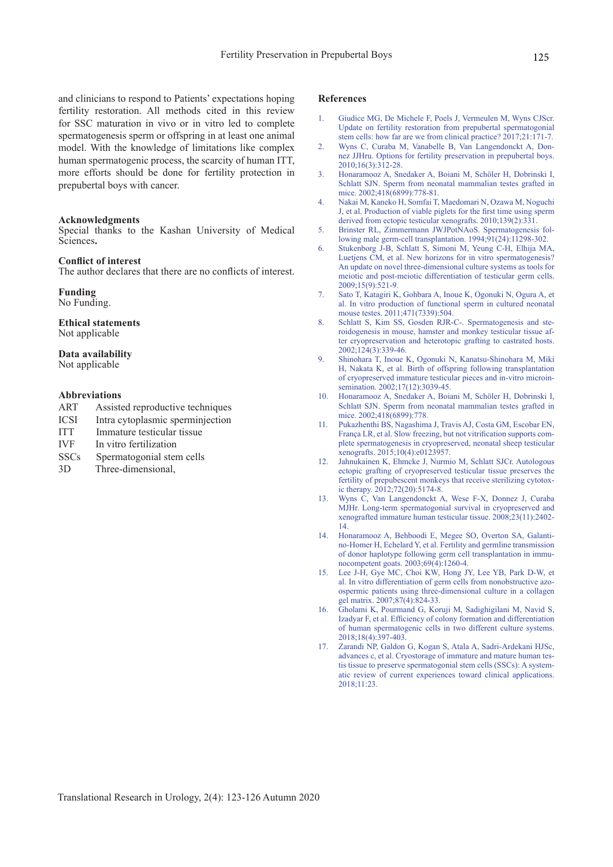and clinicians to respond to Patients' expectations hoping fertility restoration. All methods cited in this review for SSC maturation in vivo or in vitro led to complete spermatogenesis sperm or offspring in at least one animal model. With the knowledge of limitations like complex human spermatogenic process, the scarcity of human ITT, more efforts should be done for fertility protection in prepubertal boys with cancer.

#### **Acknowledgments**

Special thanks to the Kashan University of Medical Sciences**.**

#### **Conflict of interest**

The author declares that there are no conflicts of interest.

#### **Funding**

No Funding.

#### **Ethical statements** Not applicable

#### **Data availability**

Not applicable

#### **Abbreviations**

- ART Assisted reproductive techniques
- ICSI Intra cytoplasmic sperminjection
- ITT Immature testicular tissue
- IVF In vitro fertilization
- SSCs Spermatogonial stem cells
- 3D Three-dimensional,

#### **References**

- 1. Giudice MG, De Michele F, Poels J, Vermeulen M, Wyns CJScr. Update on fertility restoration from prepubertal spermatogonial stem cells: how far are we from clinical practice? 2017;21:171-7.
- 2. Wyns C, Curaba M, Vanabelle B, Van Langendonckt A, Donnez JJHru. Options for fertility preservation in prepubertal boys.  $2010;16(3):312-28.$
- 3. Honaramooz A, Snedaker A, Boiani M, Schöler H, Dobrinski I, Schlatt SJN. Sperm from neonatal mammalian testes grafted in mice. 2002;418(6899):778-81.
- 4. Nakai M, Kaneko H, Somfai T, Maedomari N, Ozawa M, Noguchi J, et al. Production of viable piglets for the first time using sperm derived from ectopic testicular xenografts. 2010;139(2):331.
- 5. Brinster RL, Zimmermann JWJPotNAoS. Spermatogenesis following male germ-cell transplantation. 1994;91(24):11298-302.
- 6. Stukenborg J-B, Schlatt S, Simoni M, Yeung C-H, Elhija MA, Luetjens CM, et al. New horizons for in vitro spermatogenesis? An update on novel three-dimensional culture systems as tools for meiotic and post-meiotic differentiation of testicular germ cells. 2009;15(9):521-9.
- 7. Sato T, Katagiri K, Gohbara A, Inoue K, Ogonuki N, Ogura A, et al. In vitro production of functional sperm in cultured neonatal mouse testes. 2011;471(7339):504.
- 8. Schlatt S, Kim SS, Gosden RJR-C-. Spermatogenesis and steroidogenesis in mouse, hamster and monkey testicular tissue after cryopreservation and heterotopic grafting to castrated hosts. 2002;124(3):339-46.
- 9. Shinohara T, Inoue K, Ogonuki N, Kanatsu-Shinohara M, Miki H, Nakata K, et al. Birth of offspring following transplantation of cryopreserved immature testicular pieces and in-vitro microinsemination. 2002;17(12):3039-45.
- 10. Honaramooz A, Snedaker A, Boiani M, Schöler H, Dobrinski I, Schlatt SJN. Sperm from neonatal mammalian testes grafted in mice. 2002;418(6899):778.
- 11. Pukazhenthi BS, Nagashima J, Travis AJ, Costa GM, Escobar EN, França LR, et al. Slow freezing, but not vitrification supports complete spermatogenesis in cryopreserved, neonatal sheep testicular xenografts. 2015;10(4):e0123957.
- 12. Jahnukainen K, Ehmcke J, Nurmio M, Schlatt SJCr. Autologous ectopic grafting of cryopreserved testicular tissue preserves the fertility of prepubescent monkeys that receive sterilizing cytotoxic therapy. 2012;72(20):5174-8.
- 13. Wyns C, Van Langendonckt A, Wese F-X, Donnez J, Curaba MJHr. Long-term spermatogonial survival in cryopreserved and xenografted immature human testicular tissue. 2008;23(11):2402- 14.
- 14. Honaramooz A, Behboodi E, Megee SO, Overton SA, Galantino-Homer H, Echelard Y, et al. Fertility and germline transmission of donor haplotype following germ cell transplantation in immunocompetent goats. 2003;69(4):1260-4.
- Lee J-H, Gye MC, Choi KW, Hong JY, Lee YB, Park D-W, et al. In vitro differentiation of germ cells from nonobstructive azoospermic patients using three-dimensional culture in a collagen gel matrix. 2007;87(4):824-33.
- 16. Gholami K, Pourmand G, Koruji M, Sadighigilani M, Navid S, Izadyar F, et al. Efficiency of colony formation and differentiation of human spermatogenic cells in two different culture systems. 2018;18(4):397-403.
- 17. Zarandi NP, Galdon G, Kogan S, Atala A, Sadri-Ardekani HJSc, advances c, et al. Cryostorage of immature and mature human testis tissue to preserve spermatogonial stem cells (SSCs): A systematic review of current experiences toward clinical applications. 2018;11:23.